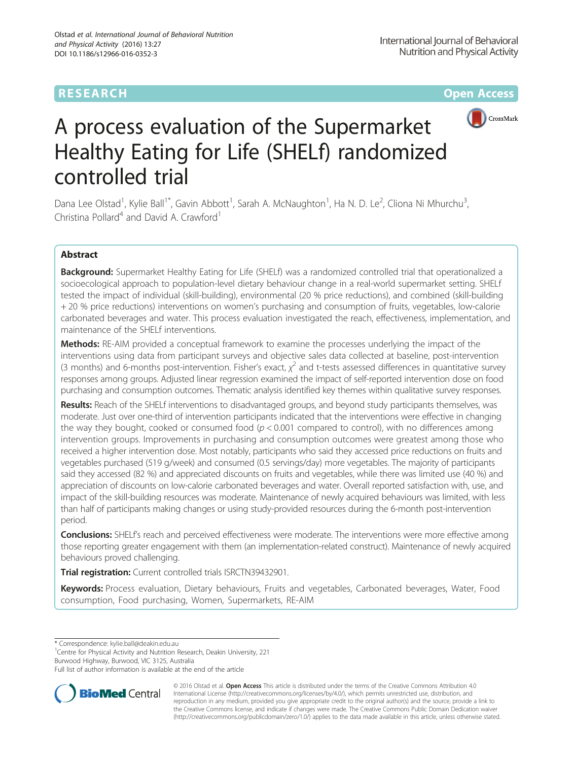# **RESEARCH CHE Open Access**



# A process evaluation of the Supermarket Healthy Eating for Life (SHELf) randomized controlled trial

Dana Lee Olstad<sup>1</sup>, Kylie Ball<sup>1\*</sup>, Gavin Abbott<sup>1</sup>, Sarah A. McNaughton<sup>1</sup>, Ha N. D. Le<sup>2</sup>, Cliona Ni Mhurchu<sup>3</sup> , Christina Pollard<sup>4</sup> and David A. Crawford<sup>1</sup>

## Abstract

Background: Supermarket Healthy Eating for Life (SHELf) was a randomized controlled trial that operationalized a socioecological approach to population-level dietary behaviour change in a real-world supermarket setting. SHELf tested the impact of individual (skill-building), environmental (20 % price reductions), and combined (skill-building + 20 % price reductions) interventions on women's purchasing and consumption of fruits, vegetables, low-calorie carbonated beverages and water. This process evaluation investigated the reach, effectiveness, implementation, and maintenance of the SHELf interventions.

**Methods:** RE-AIM provided a conceptual framework to examine the processes underlying the impact of the interventions using data from participant surveys and objective sales data collected at baseline, post-intervention (3 months) and 6-months post-intervention. Fisher's exact,  $\chi^2$  and t-tests assessed differences in quantitative survey responses among groups. Adjusted linear regression examined the impact of self-reported intervention dose on food purchasing and consumption outcomes. Thematic analysis identified key themes within qualitative survey responses.

Results: Reach of the SHELf interventions to disadvantaged groups, and beyond study participants themselves, was moderate. Just over one-third of intervention participants indicated that the interventions were effective in changing the way they bought, cooked or consumed food  $(p < 0.001$  compared to control), with no differences among intervention groups. Improvements in purchasing and consumption outcomes were greatest among those who received a higher intervention dose. Most notably, participants who said they accessed price reductions on fruits and vegetables purchased (519 g/week) and consumed (0.5 servings/day) more vegetables. The majority of participants said they accessed (82 %) and appreciated discounts on fruits and vegetables, while there was limited use (40 %) and appreciation of discounts on low-calorie carbonated beverages and water. Overall reported satisfaction with, use, and impact of the skill-building resources was moderate. Maintenance of newly acquired behaviours was limited, with less than half of participants making changes or using study-provided resources during the 6-month post-intervention period.

Conclusions: SHELf's reach and perceived effectiveness were moderate. The interventions were more effective among those reporting greater engagement with them (an implementation-related construct). Maintenance of newly acquired behaviours proved challenging.

Trial registration: Current controlled trials [ISRCTN39432901](http://www.controlled-trials.com/ISRCTN39432901).

Keywords: Process evaluation, Dietary behaviours, Fruits and vegetables, Carbonated beverages, Water, Food consumption, Food purchasing, Women, Supermarkets, RE-AIM

\* Correspondence: [kylie.ball@deakin.edu.au](mailto:kylie.ball@deakin.edu.au) <sup>1</sup>

<sup>1</sup> Centre for Physical Activity and Nutrition Research, Deakin University, 221 Burwood Highway, Burwood, VIC 3125, Australia

Full list of author information is available at the end of the article



© 2016 Olstad et al. Open Access This article is distributed under the terms of the Creative Commons Attribution 4.0 International License [\(http://creativecommons.org/licenses/by/4.0/](http://creativecommons.org/licenses/by/4.0/)), which permits unrestricted use, distribution, and reproduction in any medium, provided you give appropriate credit to the original author(s) and the source, provide a link to the Creative Commons license, and indicate if changes were made. The Creative Commons Public Domain Dedication waiver [\(http://creativecommons.org/publicdomain/zero/1.0/](http://creativecommons.org/publicdomain/zero/1.0/)) applies to the data made available in this article, unless otherwise stated.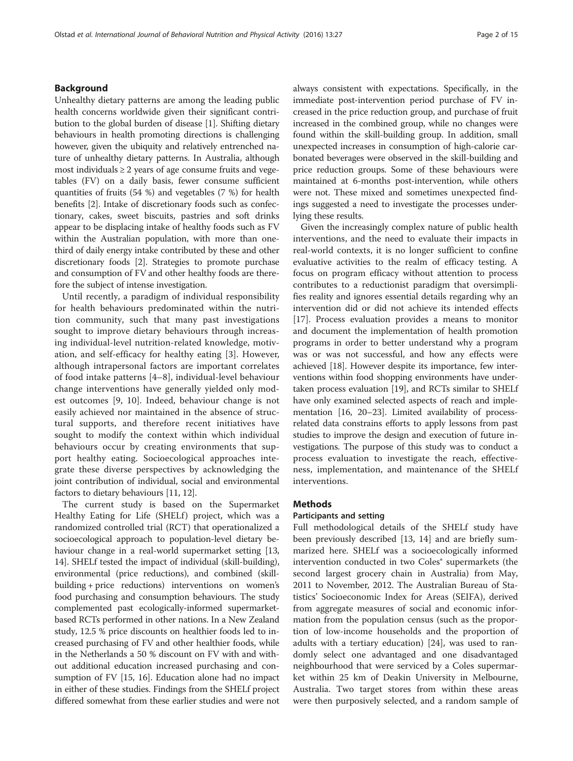## Background

Unhealthy dietary patterns are among the leading public health concerns worldwide given their significant contribution to the global burden of disease [\[1](#page-13-0)]. Shifting dietary behaviours in health promoting directions is challenging however, given the ubiquity and relatively entrenched nature of unhealthy dietary patterns. In Australia, although most individuals  $\geq 2$  years of age consume fruits and vegetables (FV) on a daily basis, fewer consume sufficient quantities of fruits (54 %) and vegetables (7 %) for health benefits [\[2](#page-13-0)]. Intake of discretionary foods such as confectionary, cakes, sweet biscuits, pastries and soft drinks appear to be displacing intake of healthy foods such as FV within the Australian population, with more than onethird of daily energy intake contributed by these and other discretionary foods [\[2](#page-13-0)]. Strategies to promote purchase and consumption of FV and other healthy foods are therefore the subject of intense investigation.

Until recently, a paradigm of individual responsibility for health behaviours predominated within the nutrition community, such that many past investigations sought to improve dietary behaviours through increasing individual-level nutrition-related knowledge, motivation, and self-efficacy for healthy eating [[3\]](#page-13-0). However, although intrapersonal factors are important correlates of food intake patterns [\[4](#page-13-0)–[8](#page-13-0)], individual-level behaviour change interventions have generally yielded only modest outcomes [\[9](#page-13-0), [10\]](#page-13-0). Indeed, behaviour change is not easily achieved nor maintained in the absence of structural supports, and therefore recent initiatives have sought to modify the context within which individual behaviours occur by creating environments that support healthy eating. Socioecological approaches integrate these diverse perspectives by acknowledging the joint contribution of individual, social and environmental factors to dietary behaviours [[11](#page-13-0), [12\]](#page-13-0).

The current study is based on the Supermarket Healthy Eating for Life (SHELf) project, which was a randomized controlled trial (RCT) that operationalized a socioecological approach to population-level dietary be-haviour change in a real-world supermarket setting [[13](#page-13-0), [14](#page-13-0)]. SHELf tested the impact of individual (skill-building), environmental (price reductions), and combined (skillbuilding + price reductions) interventions on women's food purchasing and consumption behaviours. The study complemented past ecologically-informed supermarketbased RCTs performed in other nations. In a New Zealand study, 12.5 % price discounts on healthier foods led to increased purchasing of FV and other healthier foods, while in the Netherlands a 50 % discount on FV with and without additional education increased purchasing and consumption of FV [\[15, 16](#page-13-0)]. Education alone had no impact in either of these studies. Findings from the SHELf project differed somewhat from these earlier studies and were not always consistent with expectations. Specifically, in the immediate post-intervention period purchase of FV increased in the price reduction group, and purchase of fruit increased in the combined group, while no changes were found within the skill-building group. In addition, small unexpected increases in consumption of high-calorie carbonated beverages were observed in the skill-building and price reduction groups. Some of these behaviours were maintained at 6-months post-intervention, while others were not. These mixed and sometimes unexpected findings suggested a need to investigate the processes underlying these results.

Given the increasingly complex nature of public health interventions, and the need to evaluate their impacts in real-world contexts, it is no longer sufficient to confine evaluative activities to the realm of efficacy testing. A focus on program efficacy without attention to process contributes to a reductionist paradigm that oversimplifies reality and ignores essential details regarding why an intervention did or did not achieve its intended effects [[17\]](#page-14-0). Process evaluation provides a means to monitor and document the implementation of health promotion programs in order to better understand why a program was or was not successful, and how any effects were achieved [[18](#page-14-0)]. However despite its importance, few interventions within food shopping environments have undertaken process evaluation [[19\]](#page-14-0), and RCTs similar to SHELf have only examined selected aspects of reach and implementation [\[16](#page-13-0), [20](#page-14-0)–[23\]](#page-14-0). Limited availability of processrelated data constrains efforts to apply lessons from past studies to improve the design and execution of future investigations. The purpose of this study was to conduct a process evaluation to investigate the reach, effectiveness, implementation, and maintenance of the SHELf interventions.

## Methods

## Participants and setting

Full methodological details of the SHELf study have been previously described [[13](#page-13-0), [14](#page-13-0)] and are briefly summarized here. SHELf was a socioecologically informed intervention conducted in two Coles<sup>®</sup> supermarkets (the second largest grocery chain in Australia) from May, 2011 to November, 2012. The Australian Bureau of Statistics' Socioeconomic Index for Areas (SEIFA), derived from aggregate measures of social and economic information from the population census (such as the proportion of low-income households and the proportion of adults with a tertiary education) [[24\]](#page-14-0), was used to randomly select one advantaged and one disadvantaged neighbourhood that were serviced by a Coles supermarket within 25 km of Deakin University in Melbourne, Australia. Two target stores from within these areas were then purposively selected, and a random sample of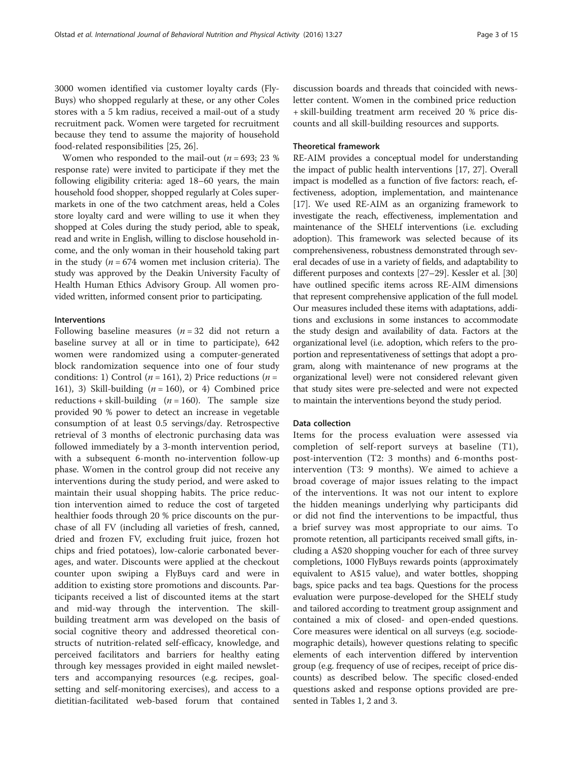3000 women identified via customer loyalty cards (Fly-Buys) who shopped regularly at these, or any other Coles stores with a 5 km radius, received a mail-out of a study recruitment pack. Women were targeted for recruitment because they tend to assume the majority of household food-related responsibilities [\[25, 26\]](#page-14-0).

Women who responded to the mail-out ( $n = 693$ ; 23 %) response rate) were invited to participate if they met the following eligibility criteria: aged 18–60 years, the main household food shopper, shopped regularly at Coles supermarkets in one of the two catchment areas, held a Coles store loyalty card and were willing to use it when they shopped at Coles during the study period, able to speak, read and write in English, willing to disclose household income, and the only woman in their household taking part in the study ( $n = 674$  women met inclusion criteria). The study was approved by the Deakin University Faculty of Health Human Ethics Advisory Group. All women provided written, informed consent prior to participating.

#### Interventions

Following baseline measures  $(n = 32$  did not return a baseline survey at all or in time to participate), 642 women were randomized using a computer-generated block randomization sequence into one of four study conditions: 1) Control ( $n = 161$ ), 2) Price reductions ( $n =$ 161), 3) Skill-building  $(n = 160)$ , or 4) Combined price reductions + skill-building  $(n = 160)$ . The sample size provided 90 % power to detect an increase in vegetable consumption of at least 0.5 servings/day. Retrospective retrieval of 3 months of electronic purchasing data was followed immediately by a 3-month intervention period, with a subsequent 6-month no-intervention follow-up phase. Women in the control group did not receive any interventions during the study period, and were asked to maintain their usual shopping habits. The price reduction intervention aimed to reduce the cost of targeted healthier foods through 20 % price discounts on the purchase of all FV (including all varieties of fresh, canned, dried and frozen FV, excluding fruit juice, frozen hot chips and fried potatoes), low-calorie carbonated beverages, and water. Discounts were applied at the checkout counter upon swiping a FlyBuys card and were in addition to existing store promotions and discounts. Participants received a list of discounted items at the start and mid-way through the intervention. The skillbuilding treatment arm was developed on the basis of social cognitive theory and addressed theoretical constructs of nutrition-related self-efficacy, knowledge, and perceived facilitators and barriers for healthy eating through key messages provided in eight mailed newsletters and accompanying resources (e.g. recipes, goalsetting and self-monitoring exercises), and access to a dietitian-facilitated web-based forum that contained

discussion boards and threads that coincided with newsletter content. Women in the combined price reduction + skill-building treatment arm received 20 % price discounts and all skill-building resources and supports.

#### Theoretical framework

RE-AIM provides a conceptual model for understanding the impact of public health interventions [[17](#page-14-0), [27](#page-14-0)]. Overall impact is modelled as a function of five factors: reach, effectiveness, adoption, implementation, and maintenance [[17](#page-14-0)]. We used RE-AIM as an organizing framework to investigate the reach, effectiveness, implementation and maintenance of the SHELf interventions (i.e. excluding adoption). This framework was selected because of its comprehensiveness, robustness demonstrated through several decades of use in a variety of fields, and adaptability to different purposes and contexts [[27](#page-14-0)–[29](#page-14-0)]. Kessler et al. [[30](#page-14-0)] have outlined specific items across RE-AIM dimensions that represent comprehensive application of the full model. Our measures included these items with adaptations, additions and exclusions in some instances to accommodate the study design and availability of data. Factors at the organizational level (i.e. adoption, which refers to the proportion and representativeness of settings that adopt a program, along with maintenance of new programs at the organizational level) were not considered relevant given that study sites were pre-selected and were not expected to maintain the interventions beyond the study period.

#### Data collection

Items for the process evaluation were assessed via completion of self-report surveys at baseline (T1), post-intervention (T2: 3 months) and 6-months postintervention (T3: 9 months). We aimed to achieve a broad coverage of major issues relating to the impact of the interventions. It was not our intent to explore the hidden meanings underlying why participants did or did not find the interventions to be impactful, thus a brief survey was most appropriate to our aims. To promote retention, all participants received small gifts, including a A\$20 shopping voucher for each of three survey completions, 1000 FlyBuys rewards points (approximately equivalent to A\$15 value), and water bottles, shopping bags, spice packs and tea bags. Questions for the process evaluation were purpose-developed for the SHELf study and tailored according to treatment group assignment and contained a mix of closed- and open-ended questions. Core measures were identical on all surveys (e.g. sociodemographic details), however questions relating to specific elements of each intervention differed by intervention group (e.g. frequency of use of recipes, receipt of price discounts) as described below. The specific closed-ended questions asked and response options provided are presented in Tables [1](#page-3-0), [2](#page-4-0) and [3.](#page-5-0)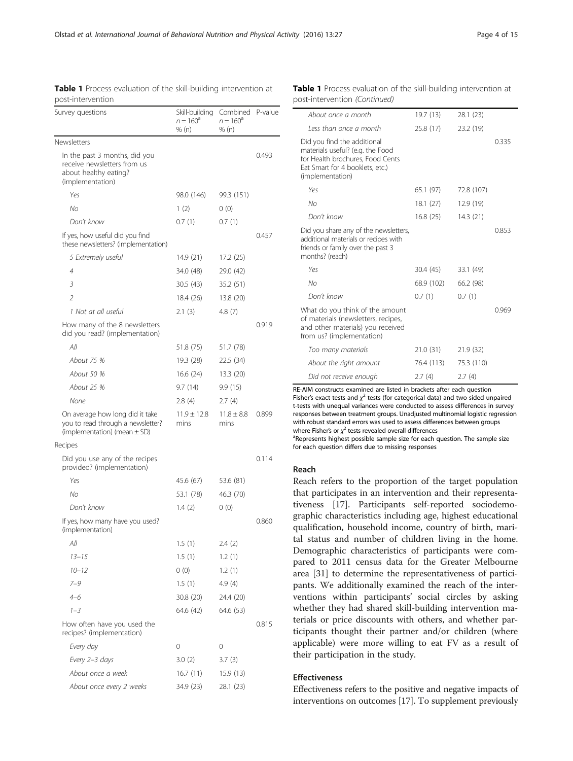| post-intervention                                                                                         |                                              |                                        |         |  |
|-----------------------------------------------------------------------------------------------------------|----------------------------------------------|----------------------------------------|---------|--|
| Survey questions                                                                                          | Skill-building<br>$n = 160^{\circ}$<br>% (n) | Combined<br>$n = 160^{\circ}$<br>% (n) | P-value |  |
| Newsletters                                                                                               |                                              |                                        |         |  |
| In the past 3 months, did you<br>receive newsletters from us<br>about healthy eating?<br>(implementation) |                                              |                                        | 0.493   |  |
| Yes                                                                                                       | 98.0 (146)                                   | 99.3 (151)                             |         |  |
| No                                                                                                        | 1(2)                                         | 0(0)                                   |         |  |
| Don't know                                                                                                | 0.7(1)                                       | 0.7(1)                                 |         |  |
| If yes, how useful did you find<br>these newsletters? (implementation)                                    |                                              |                                        | 0.457   |  |
| 5 Extremely useful                                                                                        | 14.9 (21)                                    | 17.2 (25)                              |         |  |
| 4                                                                                                         | 34.0 (48)                                    | 29.0 (42)                              |         |  |
| 3                                                                                                         | 30.5(43)                                     | 35.2 (51)                              |         |  |
| 2                                                                                                         | 18.4 (26)                                    | 13.8 (20)                              |         |  |
| 1 Not at all useful                                                                                       | 2.1(3)                                       | 4.8 $(7)$                              |         |  |
| How many of the 8 newsletters<br>did you read? (implementation)                                           |                                              |                                        | 0.919   |  |
| Αll                                                                                                       | 51.8 (75)                                    | 51.7 (78)                              |         |  |
| About 75 %                                                                                                | 19.3 (28)                                    | 22.5 (34)                              |         |  |
| About 50 %                                                                                                | 16.6 (24)                                    | 13.3 (20)                              |         |  |
| About 25 %                                                                                                | 9.7(14)                                      | 9.9(15)                                |         |  |
| None                                                                                                      | 2.8(4)                                       | 2.7(4)                                 |         |  |
| On average how long did it take<br>you to read through a newsletter?<br>(implementation) (mean $\pm$ SD)  | $11.9 \pm 12.8$<br>mins                      | $11.8 \pm 8.8$<br>mins                 | 0.899   |  |
| Recipes                                                                                                   |                                              |                                        |         |  |
| Did you use any of the recipes<br>provided? (implementation)                                              |                                              |                                        | 0.114   |  |
| Yes                                                                                                       | 45.6 (67)                                    | 53.6 (81)                              |         |  |
| No                                                                                                        | 53.1 (78)                                    | 46.3 (70)                              |         |  |
| Don't know                                                                                                | 1.4(2)                                       | 0(0)                                   |         |  |
| If yes, how many have you used?<br>(implementation)                                                       |                                              |                                        | 0.860   |  |
| All                                                                                                       | 1.5(1)                                       | 2.4(2)                                 |         |  |
| $13 - 15$                                                                                                 | 1.5(1)                                       | 1.2(1)                                 |         |  |
| $10 - 12$                                                                                                 | (0)                                          | 1.2(1)                                 |         |  |
| $7 - 9$                                                                                                   | 1.5(1)                                       | 4.9(4)                                 |         |  |
| $4 - 6$                                                                                                   | 30.8 (20)                                    | 24.4 (20)                              |         |  |
| $1 - 3$                                                                                                   | 64.6 (42)                                    | 64.6 (53)                              |         |  |
| How often have you used the<br>recipes? (implementation)                                                  |                                              |                                        | 0.815   |  |
| Every day                                                                                                 | 0                                            | 0                                      |         |  |
| Every 2-3 days                                                                                            | 3.0(2)                                       | 3.7(3)                                 |         |  |
| About once a week                                                                                         | 16.7 (11)                                    | 15.9 (13)                              |         |  |
| About once every 2 weeks                                                                                  | 34.9 (23)                                    | 28.1 (23)                              |         |  |
|                                                                                                           |                                              |                                        |         |  |

<span id="page-3-0"></span>

|                   |  |  |  | Table 1 Process evaluation of the skill-building intervention at |  |
|-------------------|--|--|--|------------------------------------------------------------------|--|
| post-intervention |  |  |  |                                                                  |  |

## Table 1 Process evaluation of the skill-building intervention at post-intervention (Continued)

| About once a month                                                                                                                                         | 19.7 (13)  | 28.1(23)   |       |
|------------------------------------------------------------------------------------------------------------------------------------------------------------|------------|------------|-------|
| Less than once a month                                                                                                                                     | 25.8 (17)  | 23.2 (19)  |       |
| Did you find the additional<br>materials useful? (e.g. the Food<br>for Health brochures, Food Cents<br>Eat Smart for 4 booklets, etc.)<br>(implementation) |            |            | 0.335 |
| Yes                                                                                                                                                        | 65.1 (97)  | 72.8 (107) |       |
| No                                                                                                                                                         | 18.1(27)   | 12.9 (19)  |       |
| Don't know                                                                                                                                                 | 16.8(25)   | 14.3(21)   |       |
| Did you share any of the newsletters,<br>additional materials or recipes with<br>friends or family over the past 3<br>months? (reach)                      |            |            | 0.853 |
| Yes                                                                                                                                                        | 30.4 (45)  | 33.1 (49)  |       |
| No                                                                                                                                                         | 68.9 (102) | 66.2 (98)  |       |
| Don't know                                                                                                                                                 | 0.7(1)     | 0.7(1)     |       |
| What do you think of the amount<br>of materials (newsletters, recipes,<br>and other materials) you received<br>from us? (implementation)                   |            |            | 0.969 |
| Too many materials                                                                                                                                         | 21.0 (31)  | 21.9(32)   |       |
| About the right amount                                                                                                                                     | 76.4 (113) | 75.3 (110) |       |
| Did not receive enough                                                                                                                                     | 2.7(4)     | 2.7(4)     |       |

RE-AIM constructs examined are listed in brackets after each question Fisher's exact tests and  $\chi^2$  tests (for categorical data) and two-sided unpaired t-tests with unequal variances were conducted to assess differences in survey responses between treatment groups. Unadjusted multinomial logistic regression with robust standard errors was used to assess differences between groups

where Fisher's or  $\chi^2$  tests revealed overall differences<br>approacents highest possible sample size for each <sup>a</sup>Represents highest possible sample size for each question. The sample size for each question differs due to missing responses

#### Reach

Reach refers to the proportion of the target population that participates in an intervention and their representativeness [[17\]](#page-14-0). Participants self-reported sociodemographic characteristics including age, highest educational qualification, household income, country of birth, marital status and number of children living in the home. Demographic characteristics of participants were compared to 2011 census data for the Greater Melbourne area [\[31](#page-14-0)] to determine the representativeness of participants. We additionally examined the reach of the interventions within participants' social circles by asking whether they had shared skill-building intervention materials or price discounts with others, and whether participants thought their partner and/or children (where applicable) were more willing to eat FV as a result of their participation in the study.

## Effectiveness

Effectiveness refers to the positive and negative impacts of interventions on outcomes [\[17\]](#page-14-0). To supplement previously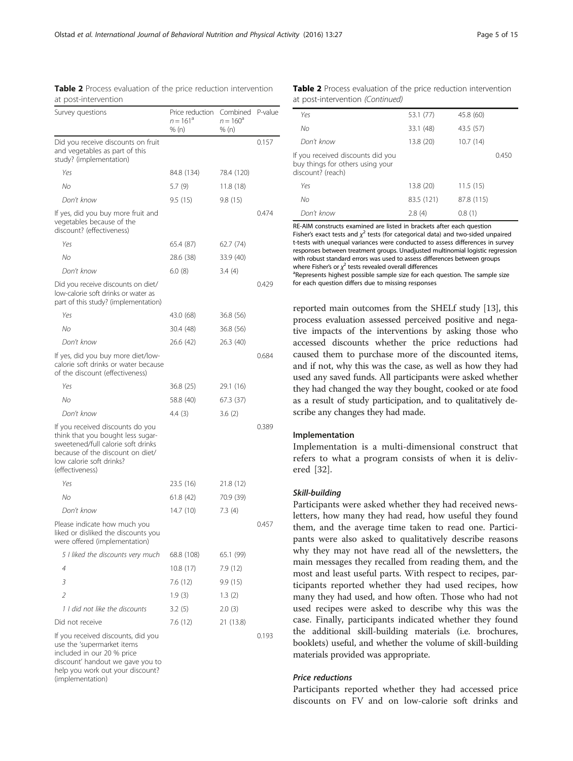| at post-intervention                                                                                                                                                                           |                                               |                                        |         |
|------------------------------------------------------------------------------------------------------------------------------------------------------------------------------------------------|-----------------------------------------------|----------------------------------------|---------|
| Survey questions                                                                                                                                                                               | Price reduction<br>$n = 161^{\circ}$<br>% (n) | Combined<br>$n = 160^{\circ}$<br>% (n) | P-value |
| Did you receive discounts on fruit<br>and vegetables as part of this<br>study? (implementation)                                                                                                |                                               |                                        | 0.157   |
| Yes                                                                                                                                                                                            | 84.8 (134)                                    | 78.4 (120)                             |         |
| No                                                                                                                                                                                             | 5.7(9)                                        | 11.8 (18)                              |         |
| Don't know                                                                                                                                                                                     | 9.5(15)                                       | 9.8(15)                                |         |
| If yes, did you buy more fruit and<br>vegetables because of the<br>discount? (effectiveness)                                                                                                   |                                               |                                        | 0.474   |
| Yes                                                                                                                                                                                            | 65.4 (87)                                     | 62.7(74)                               |         |
| No                                                                                                                                                                                             | 28.6 (38)                                     | 33.9 (40)                              |         |
| Don't know                                                                                                                                                                                     | 6.0(8)                                        | 3.4(4)                                 |         |
| Did you receive discounts on diet/<br>low-calorie soft drinks or water as<br>part of this study? (implementation)                                                                              |                                               |                                        | 0.429   |
| Yes                                                                                                                                                                                            | 43.0 (68)                                     | 36.8 (56)                              |         |
| Nο                                                                                                                                                                                             | 30.4 (48)                                     | 36.8 (56)                              |         |
| Don't know                                                                                                                                                                                     | 26.6 (42)                                     | 26.3 (40)                              |         |
| If yes, did you buy more diet/low-<br>calorie soft drinks or water because<br>of the discount (effectiveness)                                                                                  |                                               |                                        | 0.684   |
| Yes                                                                                                                                                                                            | 36.8 (25)                                     | 29.1 (16)                              |         |
| No                                                                                                                                                                                             | 58.8 (40)                                     | 67.3 (37)                              |         |
| Don't know                                                                                                                                                                                     | 4.4(3)                                        | 3.6(2)                                 |         |
| If you received discounts do you<br>think that you bought less sugar-<br>sweetened/full calorie soft drinks<br>because of the discount on diet/<br>low calorie soft drinks?<br>(effectiveness) |                                               |                                        | 0.389   |
| Yes                                                                                                                                                                                            | 23.5 (16)                                     | 21.8 (12)                              |         |
| No                                                                                                                                                                                             | 61.8 (42)                                     | 70.9 (39)                              |         |
| Don't know                                                                                                                                                                                     | 14.7 (10)                                     | 7.3(4)                                 |         |
| Please indicate how much you<br>liked or disliked the discounts you<br>were offered (implementation)                                                                                           |                                               |                                        | 0.457   |
| 5 I liked the discounts very much                                                                                                                                                              | 68.8 (108)                                    | 65.1 (99)                              |         |
| 4                                                                                                                                                                                              | 10.8(17)                                      | 7.9 (12)                               |         |
| 3                                                                                                                                                                                              | 7.6 (12)                                      | 9.9(15)                                |         |
| 2                                                                                                                                                                                              | 1.9(3)                                        | 1.3(2)                                 |         |
| 1 I did not like the discounts                                                                                                                                                                 | 3.2(5)                                        | 2.0(3)                                 |         |
| Did not receive                                                                                                                                                                                | 7.6 (12)                                      | 21 (13.8)                              |         |
| If you received discounts, did you<br>use the 'supermarket items<br>included in our 20 % price<br>discount' handout we gave you to<br>help you work out your discount?<br>(implementation)     |                                               |                                        | 0.193   |

<span id="page-4-0"></span>

| Table 2 Process evaluation of the price reduction intervention |  |  |  |
|----------------------------------------------------------------|--|--|--|
| at post-intervention                                           |  |  |  |

| <b>Table 2</b> Process evaluation of the price reduction intervention |  |
|-----------------------------------------------------------------------|--|
| at post-intervention (Continued)                                      |  |

| Yes                                                                                        | 53.1 (77)  | 45.8 (60)  |       |
|--------------------------------------------------------------------------------------------|------------|------------|-------|
| No                                                                                         | 33.1 (48)  | 43.5 (57)  |       |
| Don't know                                                                                 | 13.8 (20)  | 10.7(14)   |       |
| If you received discounts did you<br>buy things for others using your<br>discount? (reach) |            |            | 0.450 |
| Yes                                                                                        | 13.8 (20)  | 11.5(15)   |       |
| No                                                                                         | 83.5 (121) | 87.8 (115) |       |
| Don't know                                                                                 | 2.8(4)     | 0.8(1)     |       |
|                                                                                            |            |            |       |

RE-AIM constructs examined are listed in brackets after each question Fisher's exact tests and  $\chi^2$  tests (for categorical data) and two-sided unpaired t-tests with unequal variances were conducted to assess differences in survey responses between treatment groups. Unadjusted multinomial logistic regression with robust standard errors was used to assess differences between groups where Fisher's or  $\chi^2$  tests revealed overall differences

<sup>a</sup>Represents highest possible sample size for each question. The sample size for each question differs due to missing responses

reported main outcomes from the SHELf study [[13](#page-13-0)], this process evaluation assessed perceived positive and negative impacts of the interventions by asking those who accessed discounts whether the price reductions had caused them to purchase more of the discounted items, and if not, why this was the case, as well as how they had used any saved funds. All participants were asked whether they had changed the way they bought, cooked or ate food as a result of study participation, and to qualitatively describe any changes they had made.

## Implementation

Implementation is a multi-dimensional construct that refers to what a program consists of when it is delivered [[32\]](#page-14-0).

## Skill-building

Participants were asked whether they had received newsletters, how many they had read, how useful they found them, and the average time taken to read one. Participants were also asked to qualitatively describe reasons why they may not have read all of the newsletters, the main messages they recalled from reading them, and the most and least useful parts. With respect to recipes, participants reported whether they had used recipes, how many they had used, and how often. Those who had not used recipes were asked to describe why this was the case. Finally, participants indicated whether they found the additional skill-building materials (i.e. brochures, booklets) useful, and whether the volume of skill-building materials provided was appropriate.

## Price reductions

Participants reported whether they had accessed price discounts on FV and on low-calorie soft drinks and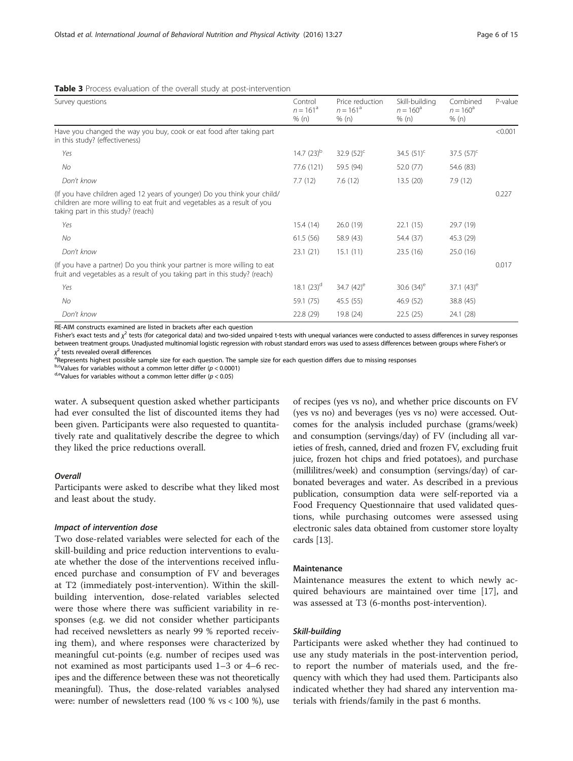#### <span id="page-5-0"></span>Table 3 Process evaluation of the overall study at post-intervention

| Survey questions                                                                                                                                                                           | Control<br>$n = 161^a$<br>% (n) | Price reduction<br>$n = 161^a$<br>% (n) | Skill-building<br>$n = 160^{\circ}$<br>% (n) | Combined<br>$n = 160^a$<br>% (n) | P-value |
|--------------------------------------------------------------------------------------------------------------------------------------------------------------------------------------------|---------------------------------|-----------------------------------------|----------------------------------------------|----------------------------------|---------|
| Have you changed the way you buy, cook or eat food after taking part<br>in this study? (effectiveness)                                                                                     |                                 |                                         |                                              |                                  | < 0.001 |
| Yes                                                                                                                                                                                        | 14.7 $(23)^{b}$                 | 32.9 $(52)^c$                           | 34.5 $(51)^c$                                | 37.5 $(57)^c$                    |         |
| <b>No</b>                                                                                                                                                                                  | 77.6 (121)                      | 59.5 (94)                               | 52.0 (77)                                    | 54.6 (83)                        |         |
| Don't know                                                                                                                                                                                 | 7.7(12)                         | 7.6(12)                                 | 13.5(20)                                     | 7.9(12)                          |         |
| (If you have children aged 12 years of younger) Do you think your child/<br>children are more willing to eat fruit and vegetables as a result of you<br>taking part in this study? (reach) |                                 |                                         |                                              |                                  | 0.227   |
| Yes                                                                                                                                                                                        | 15.4(14)                        | 26.0(19)                                | 22.1(15)                                     | 29.7 (19)                        |         |
| No                                                                                                                                                                                         | 61.5(56)                        | 58.9 (43)                               | 54.4 (37)                                    | 45.3 (29)                        |         |
| Don't know                                                                                                                                                                                 | 23.1(21)                        | 15.1(11)                                | 23.5(16)                                     | 25.0(16)                         |         |
| (If you have a partner) Do you think your partner is more willing to eat<br>fruit and vegetables as a result of you taking part in this study? (reach)                                     |                                 |                                         |                                              |                                  | 0.017   |
| Yes                                                                                                                                                                                        | 18.1 $(23)^d$                   | 34.7 $(42)^e$                           | 30.6 $(34)^e$                                | 37.1 $(43)^e$                    |         |
| No                                                                                                                                                                                         | 59.1 (75)                       | 45.5(55)                                | 46.9 (52)                                    | 38.8 (45)                        |         |
| Don't know                                                                                                                                                                                 | 22.8 (29)                       | 19.8 (24)                               | 22.5(25)                                     | 24.1 (28)                        |         |

RE-AIM constructs examined are listed in brackets after each question

Fisher's exact tests and  $\chi^2$  tests (for categorical data) and two-sided unpaired t-tests with unequal variances were conducted to assess differences in survey responses between treatment groups. Unadjusted multinomial logistic regression with robust standard errors was used to assess differences between groups where Fisher's or  $\chi^2$  tests revealed overall differences

<sup>a</sup>Represents highest possible sample size for each question. The sample size for each question differs due to missing responses

b,cvalues for variables without a common letter differ (p < 0.0001) devalues for variables without a common letter differ (p < 0.05)

water. A subsequent question asked whether participants had ever consulted the list of discounted items they had been given. Participants were also requested to quantitatively rate and qualitatively describe the degree to which they liked the price reductions overall.

### **Overall**

Participants were asked to describe what they liked most and least about the study.

#### Impact of intervention dose

Two dose-related variables were selected for each of the skill-building and price reduction interventions to evaluate whether the dose of the interventions received influenced purchase and consumption of FV and beverages at T2 (immediately post-intervention). Within the skillbuilding intervention, dose-related variables selected were those where there was sufficient variability in responses (e.g. we did not consider whether participants had received newsletters as nearly 99 % reported receiving them), and where responses were characterized by meaningful cut-points (e.g. number of recipes used was not examined as most participants used 1–3 or 4–6 recipes and the difference between these was not theoretically meaningful). Thus, the dose-related variables analysed were: number of newsletters read (100 % vs < 100 %), use

of recipes (yes vs no), and whether price discounts on FV (yes vs no) and beverages (yes vs no) were accessed. Outcomes for the analysis included purchase (grams/week) and consumption (servings/day) of FV (including all varieties of fresh, canned, dried and frozen FV, excluding fruit juice, frozen hot chips and fried potatoes), and purchase (millilitres/week) and consumption (servings/day) of carbonated beverages and water. As described in a previous publication, consumption data were self-reported via a Food Frequency Questionnaire that used validated questions, while purchasing outcomes were assessed using electronic sales data obtained from customer store loyalty cards [\[13](#page-13-0)].

#### Maintenance

Maintenance measures the extent to which newly acquired behaviours are maintained over time [\[17](#page-14-0)], and was assessed at T3 (6-months post-intervention).

#### Skill-building

Participants were asked whether they had continued to use any study materials in the post-intervention period, to report the number of materials used, and the frequency with which they had used them. Participants also indicated whether they had shared any intervention materials with friends/family in the past 6 months.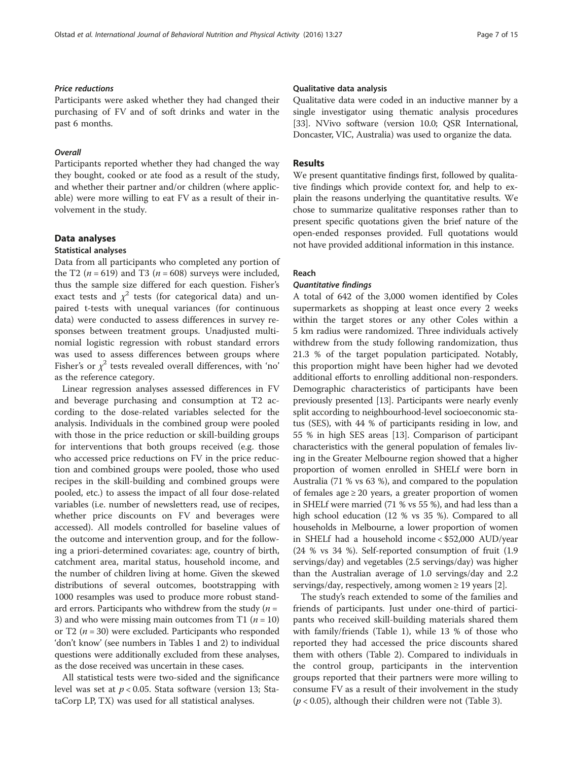## Price reductions

Participants were asked whether they had changed their purchasing of FV and of soft drinks and water in the past 6 months.

## **Overall**

Participants reported whether they had changed the way they bought, cooked or ate food as a result of the study, and whether their partner and/or children (where applicable) were more willing to eat FV as a result of their involvement in the study.

## Data analyses

#### Statistical analyses

Data from all participants who completed any portion of the T2 ( $n = 619$ ) and T3 ( $n = 608$ ) surveys were included, thus the sample size differed for each question. Fisher's exact tests and  $\chi^2$  tests (for categorical data) and unpaired t-tests with unequal variances (for continuous data) were conducted to assess differences in survey responses between treatment groups. Unadjusted multinomial logistic regression with robust standard errors was used to assess differences between groups where Fisher's or  $\chi^2$  tests revealed overall differences, with 'no' as the reference category.

Linear regression analyses assessed differences in FV and beverage purchasing and consumption at T2 according to the dose-related variables selected for the analysis. Individuals in the combined group were pooled with those in the price reduction or skill-building groups for interventions that both groups received (e.g. those who accessed price reductions on FV in the price reduction and combined groups were pooled, those who used recipes in the skill-building and combined groups were pooled, etc.) to assess the impact of all four dose-related variables (i.e. number of newsletters read, use of recipes, whether price discounts on FV and beverages were accessed). All models controlled for baseline values of the outcome and intervention group, and for the following a priori-determined covariates: age, country of birth, catchment area, marital status, household income, and the number of children living at home. Given the skewed distributions of several outcomes, bootstrapping with 1000 resamples was used to produce more robust standard errors. Participants who withdrew from the study ( $n =$ 3) and who were missing main outcomes from T1 ( $n = 10$ ) or T2 ( $n = 30$ ) were excluded. Participants who responded 'don't know' (see numbers in Tables [1](#page-3-0) and [2](#page-4-0)) to individual questions were additionally excluded from these analyses, as the dose received was uncertain in these cases.

All statistical tests were two-sided and the significance level was set at  $p < 0.05$ . Stata software (version 13; StataCorp LP, TX) was used for all statistical analyses.

#### Qualitative data analysis

Qualitative data were coded in an inductive manner by a single investigator using thematic analysis procedures [[33](#page-14-0)]. NVivo software (version 10.0; QSR International, Doncaster, VIC, Australia) was used to organize the data.

## Results

We present quantitative findings first, followed by qualitative findings which provide context for, and help to explain the reasons underlying the quantitative results. We chose to summarize qualitative responses rather than to present specific quotations given the brief nature of the open-ended responses provided. Full quotations would not have provided additional information in this instance.

### Reach

## Quantitative findings

A total of 642 of the 3,000 women identified by Coles supermarkets as shopping at least once every 2 weeks within the target stores or any other Coles within a 5 km radius were randomized. Three individuals actively withdrew from the study following randomization, thus 21.3 % of the target population participated. Notably, this proportion might have been higher had we devoted additional efforts to enrolling additional non-responders. Demographic characteristics of participants have been previously presented [\[13\]](#page-13-0). Participants were nearly evenly split according to neighbourhood-level socioeconomic status (SES), with 44 % of participants residing in low, and 55 % in high SES areas [[13](#page-13-0)]. Comparison of participant characteristics with the general population of females living in the Greater Melbourne region showed that a higher proportion of women enrolled in SHELf were born in Australia (71 % vs 63 %), and compared to the population of females age  $\geq 20$  years, a greater proportion of women in SHELf were married (71 % vs 55 %), and had less than a high school education (12 % vs 35 %). Compared to all households in Melbourne, a lower proportion of women in SHELf had a household income < \$52,000 AUD/year (24 % vs 34 %). Self-reported consumption of fruit (1.9 servings/day) and vegetables (2.5 servings/day) was higher than the Australian average of 1.0 servings/day and 2.2 servings/day, respectively, among women  $\geq$  19 years [\[2](#page-13-0)].

The study's reach extended to some of the families and friends of participants. Just under one-third of participants who received skill-building materials shared them with family/friends (Table [1](#page-3-0)), while 13 % of those who reported they had accessed the price discounts shared them with others (Table [2\)](#page-4-0). Compared to individuals in the control group, participants in the intervention groups reported that their partners were more willing to consume FV as a result of their involvement in the study  $(p < 0.05)$ , although their children were not (Table [3\)](#page-5-0).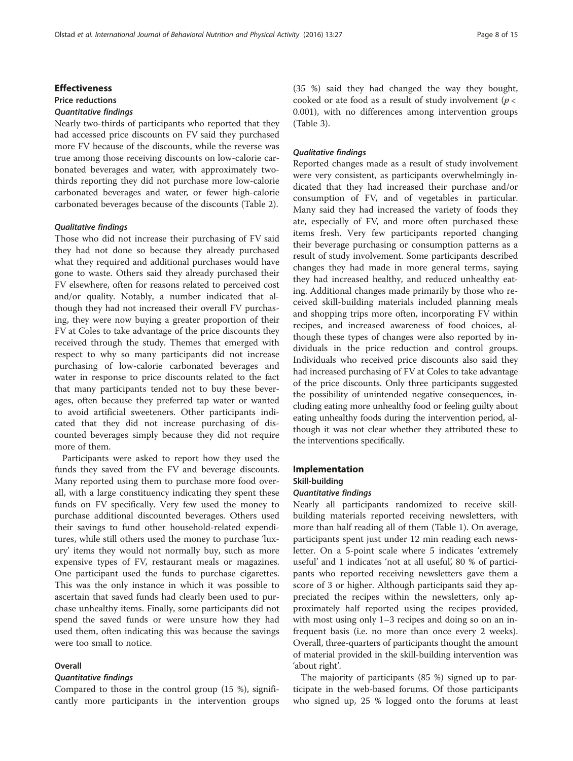#### **Effectiveness**

# Price reductions

## Quantitative findings

Nearly two-thirds of participants who reported that they had accessed price discounts on FV said they purchased more FV because of the discounts, while the reverse was true among those receiving discounts on low-calorie carbonated beverages and water, with approximately twothirds reporting they did not purchase more low-calorie carbonated beverages and water, or fewer high-calorie carbonated beverages because of the discounts (Table [2\)](#page-4-0).

#### Qualitative findings

Those who did not increase their purchasing of FV said they had not done so because they already purchased what they required and additional purchases would have gone to waste. Others said they already purchased their FV elsewhere, often for reasons related to perceived cost and/or quality. Notably, a number indicated that although they had not increased their overall FV purchasing, they were now buying a greater proportion of their FV at Coles to take advantage of the price discounts they received through the study. Themes that emerged with respect to why so many participants did not increase purchasing of low-calorie carbonated beverages and water in response to price discounts related to the fact that many participants tended not to buy these beverages, often because they preferred tap water or wanted to avoid artificial sweeteners. Other participants indicated that they did not increase purchasing of discounted beverages simply because they did not require more of them.

Participants were asked to report how they used the funds they saved from the FV and beverage discounts. Many reported using them to purchase more food overall, with a large constituency indicating they spent these funds on FV specifically. Very few used the money to purchase additional discounted beverages. Others used their savings to fund other household-related expenditures, while still others used the money to purchase 'luxury' items they would not normally buy, such as more expensive types of FV, restaurant meals or magazines. One participant used the funds to purchase cigarettes. This was the only instance in which it was possible to ascertain that saved funds had clearly been used to purchase unhealthy items. Finally, some participants did not spend the saved funds or were unsure how they had used them, often indicating this was because the savings were too small to notice.

#### **Overall**

#### Quantitative findings

Compared to those in the control group (15 %), significantly more participants in the intervention groups (35 %) said they had changed the way they bought, cooked or ate food as a result of study involvement ( $p <$ 0.001), with no differences among intervention groups (Table [3\)](#page-5-0).

## Qualitative findings

Reported changes made as a result of study involvement were very consistent, as participants overwhelmingly indicated that they had increased their purchase and/or consumption of FV, and of vegetables in particular. Many said they had increased the variety of foods they ate, especially of FV, and more often purchased these items fresh. Very few participants reported changing their beverage purchasing or consumption patterns as a result of study involvement. Some participants described changes they had made in more general terms, saying they had increased healthy, and reduced unhealthy eating. Additional changes made primarily by those who received skill-building materials included planning meals and shopping trips more often, incorporating FV within recipes, and increased awareness of food choices, although these types of changes were also reported by individuals in the price reduction and control groups. Individuals who received price discounts also said they had increased purchasing of FV at Coles to take advantage of the price discounts. Only three participants suggested the possibility of unintended negative consequences, including eating more unhealthy food or feeling guilty about eating unhealthy foods during the intervention period, although it was not clear whether they attributed these to the interventions specifically.

## Implementation Skill-building

## Quantitative findings

Nearly all participants randomized to receive skillbuilding materials reported receiving newsletters, with more than half reading all of them (Table [1\)](#page-3-0). On average, participants spent just under 12 min reading each newsletter. On a 5-point scale where 5 indicates 'extremely useful' and 1 indicates 'not at all useful', 80 % of participants who reported receiving newsletters gave them a score of 3 or higher. Although participants said they appreciated the recipes within the newsletters, only approximately half reported using the recipes provided, with most using only 1–3 recipes and doing so on an infrequent basis (i.e. no more than once every 2 weeks). Overall, three-quarters of participants thought the amount of material provided in the skill-building intervention was 'about right'.

The majority of participants (85 %) signed up to participate in the web-based forums. Of those participants who signed up, 25 % logged onto the forums at least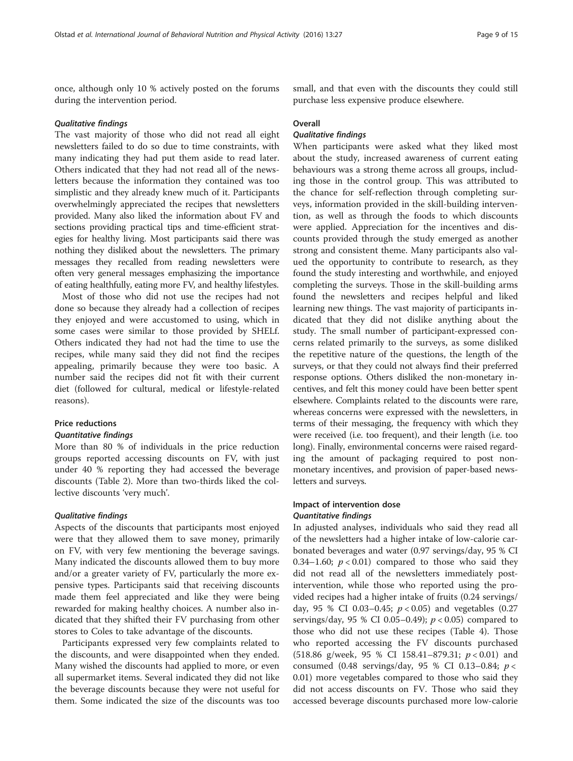once, although only 10 % actively posted on the forums during the intervention period.

#### Qualitative findings

The vast majority of those who did not read all eight newsletters failed to do so due to time constraints, with many indicating they had put them aside to read later. Others indicated that they had not read all of the newsletters because the information they contained was too simplistic and they already knew much of it. Participants overwhelmingly appreciated the recipes that newsletters provided. Many also liked the information about FV and sections providing practical tips and time-efficient strategies for healthy living. Most participants said there was nothing they disliked about the newsletters. The primary messages they recalled from reading newsletters were often very general messages emphasizing the importance of eating healthfully, eating more FV, and healthy lifestyles.

Most of those who did not use the recipes had not done so because they already had a collection of recipes they enjoyed and were accustomed to using, which in some cases were similar to those provided by SHELf. Others indicated they had not had the time to use the recipes, while many said they did not find the recipes appealing, primarily because they were too basic. A number said the recipes did not fit with their current diet (followed for cultural, medical or lifestyle-related reasons).

#### Price reductions

## Quantitative findings

More than 80 % of individuals in the price reduction groups reported accessing discounts on FV, with just under 40 % reporting they had accessed the beverage discounts (Table [2\)](#page-4-0). More than two-thirds liked the collective discounts 'very much'.

#### Qualitative findings

Aspects of the discounts that participants most enjoyed were that they allowed them to save money, primarily on FV, with very few mentioning the beverage savings. Many indicated the discounts allowed them to buy more and/or a greater variety of FV, particularly the more expensive types. Participants said that receiving discounts made them feel appreciated and like they were being rewarded for making healthy choices. A number also indicated that they shifted their FV purchasing from other stores to Coles to take advantage of the discounts.

Participants expressed very few complaints related to the discounts, and were disappointed when they ended. Many wished the discounts had applied to more, or even all supermarket items. Several indicated they did not like the beverage discounts because they were not useful for them. Some indicated the size of the discounts was too

small, and that even with the discounts they could still purchase less expensive produce elsewhere.

#### **Overall**

## Qualitative findings

When participants were asked what they liked most about the study, increased awareness of current eating behaviours was a strong theme across all groups, including those in the control group. This was attributed to the chance for self-reflection through completing surveys, information provided in the skill-building intervention, as well as through the foods to which discounts were applied. Appreciation for the incentives and discounts provided through the study emerged as another strong and consistent theme. Many participants also valued the opportunity to contribute to research, as they found the study interesting and worthwhile, and enjoyed completing the surveys. Those in the skill-building arms found the newsletters and recipes helpful and liked learning new things. The vast majority of participants indicated that they did not dislike anything about the study. The small number of participant-expressed concerns related primarily to the surveys, as some disliked the repetitive nature of the questions, the length of the surveys, or that they could not always find their preferred response options. Others disliked the non-monetary incentives, and felt this money could have been better spent elsewhere. Complaints related to the discounts were rare, whereas concerns were expressed with the newsletters, in terms of their messaging, the frequency with which they were received (i.e. too frequent), and their length (i.e. too long). Finally, environmental concerns were raised regarding the amount of packaging required to post nonmonetary incentives, and provision of paper-based newsletters and surveys.

## Impact of intervention dose Quantitative findings

In adjusted analyses, individuals who said they read all of the newsletters had a higher intake of low-calorie carbonated beverages and water (0.97 servings/day, 95 % CI 0.34–1.60;  $p < 0.01$ ) compared to those who said they did not read all of the newsletters immediately postintervention, while those who reported using the provided recipes had a higher intake of fruits (0.24 servings/ day, 95 % CI 0.03–0.45;  $p < 0.05$ ) and vegetables (0.27 servings/day, 95 % CI 0.05–0.49);  $p < 0.05$  compared to those who did not use these recipes (Table [4](#page-9-0)). Those who reported accessing the FV discounts purchased (518.86 g/week, 95 % CI 158.41–879.31; p < 0.01) and consumed (0.48 servings/day, 95 % CI 0.13–0.84;  $p <$ 0.01) more vegetables compared to those who said they did not access discounts on FV. Those who said they accessed beverage discounts purchased more low-calorie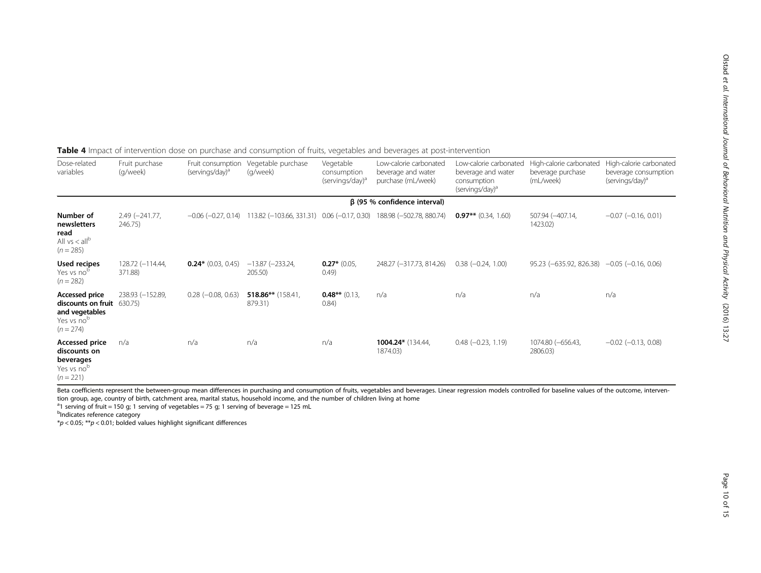| Dose-related<br>variables                                                                  | Fruit purchase<br>(g/week)      | Fruit consumption<br>(servings/day) <sup>a</sup> | Vegetable purchase<br>(g/week)                                                | Vegetable<br>consumption<br>(servings/day) <sup>a</sup> | Low-calorie carbonated<br>beverage and water<br>purchase (mL/week) | Low-calorie carbonated<br>beverage and water<br>consumption<br>(servings/day) <sup>a</sup> | High-calorie carbonated<br>beverage purchase<br>(mL/week) | High-calorie carbonated<br>beverage consumption<br>(servings/day) <sup>a</sup> |
|--------------------------------------------------------------------------------------------|---------------------------------|--------------------------------------------------|-------------------------------------------------------------------------------|---------------------------------------------------------|--------------------------------------------------------------------|--------------------------------------------------------------------------------------------|-----------------------------------------------------------|--------------------------------------------------------------------------------|
|                                                                                            |                                 |                                                  |                                                                               |                                                         | $\beta$ (95 % confidence interval)                                 |                                                                                            |                                                           |                                                                                |
| Number of<br>newsletters<br>read<br>All $vs <$ all <sup>b</sup><br>$(n = 285)$             | $2.49$ ( $-241.77$ ,<br>246.75) |                                                  | $-0.06$ ( $-0.27$ , 0.14) 113.82 ( $-103.66$ , 331.31) 0.06 ( $-0.17$ , 0.30) |                                                         | 188.98 (-502.78, 880.74)                                           | $0.97**$ (0.34, 1.60)                                                                      | 507.94 (-407.14,<br>1423.02)                              | $-0.07$ $(-0.16, 0.01)$                                                        |
| Used recipes<br>Yes vs no <sup>b</sup><br>$(n = 282)$                                      | 128.72 (-114.44,<br>371.88)     | $0.24*$ (0.03, 0.45)                             | $-13.87$ $(-233.24,$<br>205.50)                                               | $0.27*$ (0.05,<br>(0.49)                                | 248.27 (-317.73, 814.26)                                           | $0.38$ ( $-0.24$ , 1.00)                                                                   | 95.23 (-635.92, 826.38)                                   | $-0.05$ ( $-0.16$ , 0.06)                                                      |
| <b>Accessed price</b><br>discounts on fruit<br>and vegetables<br>Yes vs nob<br>$(n = 274)$ | 238.93 (-152.89,<br>630.75)     | $0.28$ ( $-0.08$ , $0.63$ )                      | 518.86** (158.41,<br>879.31)                                                  | $0.48**$ (0.13,<br>0.84)                                | n/a                                                                | n/a                                                                                        | n/a                                                       | n/a                                                                            |
| <b>Accessed price</b><br>discounts on<br>beverages<br>Yes vs nob<br>$(n = 221)$            | n/a                             | n/a                                              | n/a                                                                           | n/a                                                     | 1004.24* (134.44,<br>1874.03)                                      | $0.48$ $(-0.23, 1.19)$                                                                     | 1074.80 (-656.43,<br>2806.03)                             | $-0.02$ ( $-0.13$ , 0.08)                                                      |

## <span id="page-9-0"></span>Table 4 Impact of intervention dose on purchase and consumption of fruits, vegetables and beverages at post-intervention

Beta coefficients represent the between-group mean differences in purchasing and consumption of fruits, vegetables and beverages. Linear regression models controlled for baseline values of the outcome, intervention group, age, country of birth, catchment area, marital status, household income, and the number of children living at home

 $a$ 1 serving of fruit = 150 g; 1 serving of vegetables = 75 g; 1 serving of beverage = 125 mL

**b**Indicates reference category

 $*p$  < 0.05;  $*p$  < 0.01; bolded values highlight significant differences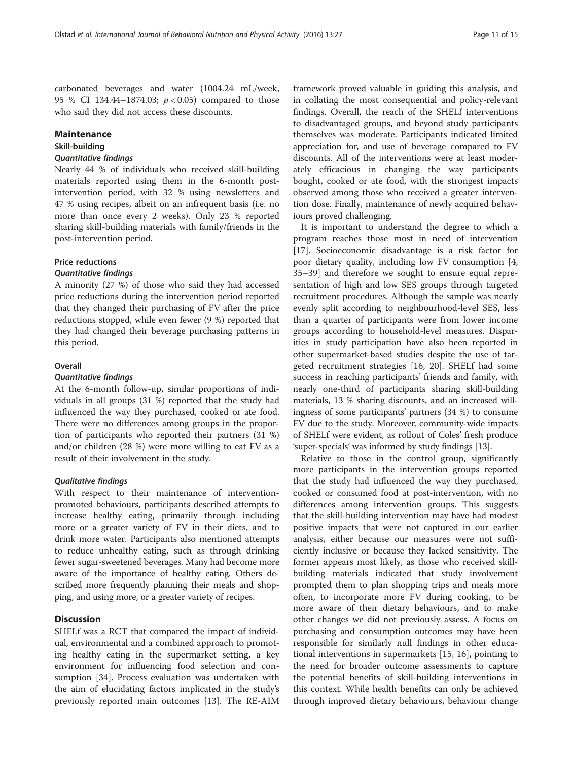carbonated beverages and water (1004.24 mL/week, 95 % CI 134.44–1874.03;  $p < 0.05$ ) compared to those who said they did not access these discounts.

## **Maintenance**

## Skill-building

## Quantitative findings

Nearly 44 % of individuals who received skill-building materials reported using them in the 6-month postintervention period, with 32 % using newsletters and 47 % using recipes, albeit on an infrequent basis (i.e. no more than once every 2 weeks). Only 23 % reported sharing skill-building materials with family/friends in the post-intervention period.

## Price reductions

### Quantitative findings

A minority (27 %) of those who said they had accessed price reductions during the intervention period reported that they changed their purchasing of FV after the price reductions stopped, while even fewer (9 %) reported that they had changed their beverage purchasing patterns in this period.

#### **Overall**

#### Quantitative findings

At the 6-month follow-up, similar proportions of individuals in all groups (31 %) reported that the study had influenced the way they purchased, cooked or ate food. There were no differences among groups in the proportion of participants who reported their partners (31 %) and/or children (28 %) were more willing to eat FV as a result of their involvement in the study.

#### Qualitative findings

With respect to their maintenance of interventionpromoted behaviours, participants described attempts to increase healthy eating, primarily through including more or a greater variety of FV in their diets, and to drink more water. Participants also mentioned attempts to reduce unhealthy eating, such as through drinking fewer sugar-sweetened beverages. Many had become more aware of the importance of healthy eating. Others described more frequently planning their meals and shopping, and using more, or a greater variety of recipes.

## **Discussion**

SHELf was a RCT that compared the impact of individual, environmental and a combined approach to promoting healthy eating in the supermarket setting, a key environment for influencing food selection and consumption [[34\]](#page-14-0). Process evaluation was undertaken with the aim of elucidating factors implicated in the study's previously reported main outcomes [\[13](#page-13-0)]. The RE-AIM

framework proved valuable in guiding this analysis, and in collating the most consequential and policy-relevant findings. Overall, the reach of the SHELf interventions to disadvantaged groups, and beyond study participants themselves was moderate. Participants indicated limited appreciation for, and use of beverage compared to FV discounts. All of the interventions were at least moderately efficacious in changing the way participants bought, cooked or ate food, with the strongest impacts observed among those who received a greater intervention dose. Finally, maintenance of newly acquired behaviours proved challenging.

It is important to understand the degree to which a program reaches those most in need of intervention [[17\]](#page-14-0). Socioeconomic disadvantage is a risk factor for poor dietary quality, including low FV consumption [\[4](#page-13-0), [35](#page-14-0)–[39](#page-14-0)] and therefore we sought to ensure equal representation of high and low SES groups through targeted recruitment procedures. Although the sample was nearly evenly split according to neighbourhood-level SES, less than a quarter of participants were from lower income groups according to household-level measures. Disparities in study participation have also been reported in other supermarket-based studies despite the use of targeted recruitment strategies [\[16,](#page-13-0) [20](#page-14-0)]. SHELf had some success in reaching participants' friends and family, with nearly one-third of participants sharing skill-building materials, 13 % sharing discounts, and an increased willingness of some participants' partners (34 %) to consume FV due to the study. Moreover, community-wide impacts of SHELf were evident, as rollout of Coles' fresh produce 'super-specials' was informed by study findings [[13](#page-13-0)].

Relative to those in the control group, significantly more participants in the intervention groups reported that the study had influenced the way they purchased, cooked or consumed food at post-intervention, with no differences among intervention groups. This suggests that the skill-building intervention may have had modest positive impacts that were not captured in our earlier analysis, either because our measures were not sufficiently inclusive or because they lacked sensitivity. The former appears most likely, as those who received skillbuilding materials indicated that study involvement prompted them to plan shopping trips and meals more often, to incorporate more FV during cooking, to be more aware of their dietary behaviours, and to make other changes we did not previously assess. A focus on purchasing and consumption outcomes may have been responsible for similarly null findings in other educational interventions in supermarkets [[15, 16\]](#page-13-0), pointing to the need for broader outcome assessments to capture the potential benefits of skill-building interventions in this context. While health benefits can only be achieved through improved dietary behaviours, behaviour change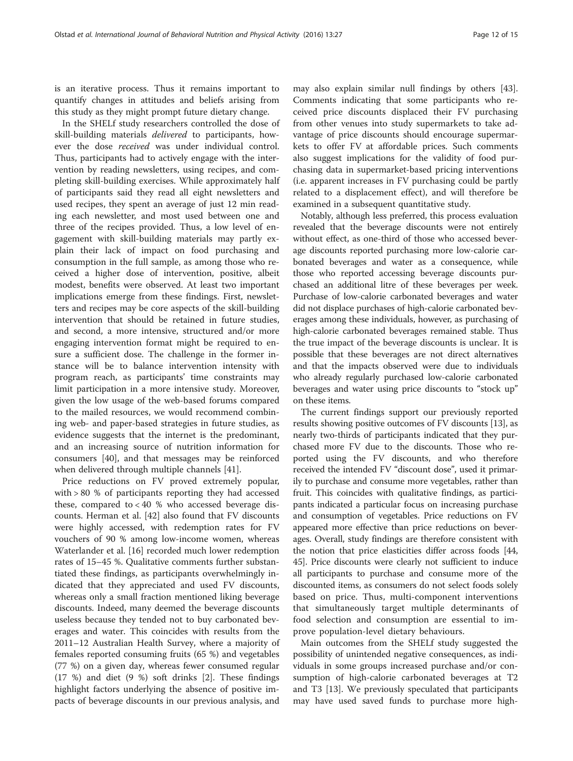is an iterative process. Thus it remains important to quantify changes in attitudes and beliefs arising from this study as they might prompt future dietary change.

In the SHELf study researchers controlled the dose of skill-building materials delivered to participants, however the dose received was under individual control. Thus, participants had to actively engage with the intervention by reading newsletters, using recipes, and completing skill-building exercises. While approximately half of participants said they read all eight newsletters and used recipes, they spent an average of just 12 min reading each newsletter, and most used between one and three of the recipes provided. Thus, a low level of engagement with skill-building materials may partly explain their lack of impact on food purchasing and consumption in the full sample, as among those who received a higher dose of intervention, positive, albeit modest, benefits were observed. At least two important implications emerge from these findings. First, newsletters and recipes may be core aspects of the skill-building intervention that should be retained in future studies, and second, a more intensive, structured and/or more engaging intervention format might be required to ensure a sufficient dose. The challenge in the former instance will be to balance intervention intensity with program reach, as participants' time constraints may limit participation in a more intensive study. Moreover, given the low usage of the web-based forums compared to the mailed resources, we would recommend combining web- and paper-based strategies in future studies, as evidence suggests that the internet is the predominant, and an increasing source of nutrition information for consumers [[40\]](#page-14-0), and that messages may be reinforced when delivered through multiple channels [[41\]](#page-14-0).

Price reductions on FV proved extremely popular, with > 80 % of participants reporting they had accessed these, compared to  $< 40$  % who accessed beverage discounts. Herman et al. [\[42](#page-14-0)] also found that FV discounts were highly accessed, with redemption rates for FV vouchers of 90 % among low-income women, whereas Waterlander et al. [[16](#page-13-0)] recorded much lower redemption rates of 15–45 %. Qualitative comments further substantiated these findings, as participants overwhelmingly indicated that they appreciated and used FV discounts, whereas only a small fraction mentioned liking beverage discounts. Indeed, many deemed the beverage discounts useless because they tended not to buy carbonated beverages and water. This coincides with results from the 2011–12 Australian Health Survey, where a majority of females reported consuming fruits (65 %) and vegetables (77 %) on a given day, whereas fewer consumed regular (17 %) and diet (9 %) soft drinks [\[2](#page-13-0)]. These findings highlight factors underlying the absence of positive impacts of beverage discounts in our previous analysis, and may also explain similar null findings by others [\[43](#page-14-0)]. Comments indicating that some participants who received price discounts displaced their FV purchasing from other venues into study supermarkets to take advantage of price discounts should encourage supermarkets to offer FV at affordable prices. Such comments also suggest implications for the validity of food purchasing data in supermarket-based pricing interventions (i.e. apparent increases in FV purchasing could be partly related to a displacement effect), and will therefore be examined in a subsequent quantitative study.

Notably, although less preferred, this process evaluation revealed that the beverage discounts were not entirely without effect, as one-third of those who accessed beverage discounts reported purchasing more low-calorie carbonated beverages and water as a consequence, while those who reported accessing beverage discounts purchased an additional litre of these beverages per week. Purchase of low-calorie carbonated beverages and water did not displace purchases of high-calorie carbonated beverages among these individuals, however, as purchasing of high-calorie carbonated beverages remained stable. Thus the true impact of the beverage discounts is unclear. It is possible that these beverages are not direct alternatives and that the impacts observed were due to individuals who already regularly purchased low-calorie carbonated beverages and water using price discounts to "stock up" on these items.

The current findings support our previously reported results showing positive outcomes of FV discounts [[13\]](#page-13-0), as nearly two-thirds of participants indicated that they purchased more FV due to the discounts. Those who reported using the FV discounts, and who therefore received the intended FV "discount dose", used it primarily to purchase and consume more vegetables, rather than fruit. This coincides with qualitative findings, as participants indicated a particular focus on increasing purchase and consumption of vegetables. Price reductions on FV appeared more effective than price reductions on beverages. Overall, study findings are therefore consistent with the notion that price elasticities differ across foods [[44](#page-14-0), [45](#page-14-0)]. Price discounts were clearly not sufficient to induce all participants to purchase and consume more of the discounted items, as consumers do not select foods solely based on price. Thus, multi-component interventions that simultaneously target multiple determinants of food selection and consumption are essential to improve population-level dietary behaviours.

Main outcomes from the SHELf study suggested the possibility of unintended negative consequences, as individuals in some groups increased purchase and/or consumption of high-calorie carbonated beverages at T2 and T3 [[13\]](#page-13-0). We previously speculated that participants may have used saved funds to purchase more high-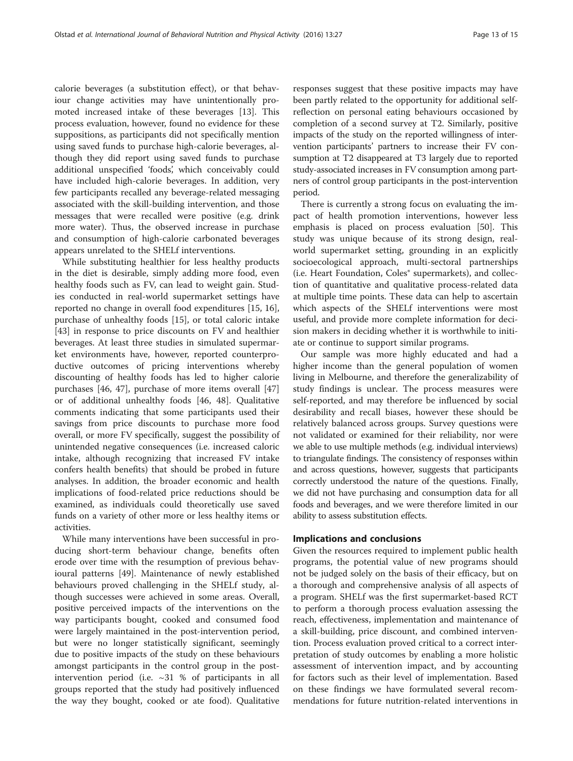calorie beverages (a substitution effect), or that behaviour change activities may have unintentionally promoted increased intake of these beverages [[13](#page-13-0)]. This process evaluation, however, found no evidence for these suppositions, as participants did not specifically mention using saved funds to purchase high-calorie beverages, although they did report using saved funds to purchase additional unspecified 'foods', which conceivably could have included high-calorie beverages. In addition, very few participants recalled any beverage-related messaging associated with the skill-building intervention, and those messages that were recalled were positive (e.g. drink more water). Thus, the observed increase in purchase and consumption of high-calorie carbonated beverages appears unrelated to the SHELf interventions.

While substituting healthier for less healthy products in the diet is desirable, simply adding more food, even healthy foods such as FV, can lead to weight gain. Studies conducted in real-world supermarket settings have reported no change in overall food expenditures [[15](#page-13-0), [16](#page-13-0)], purchase of unhealthy foods [[15](#page-13-0)], or total caloric intake [[43\]](#page-14-0) in response to price discounts on FV and healthier beverages. At least three studies in simulated supermarket environments have, however, reported counterproductive outcomes of pricing interventions whereby discounting of healthy foods has led to higher calorie purchases [\[46](#page-14-0), [47](#page-14-0)], purchase of more items overall [[47](#page-14-0)] or of additional unhealthy foods [[46](#page-14-0), [48\]](#page-14-0). Qualitative comments indicating that some participants used their savings from price discounts to purchase more food overall, or more FV specifically, suggest the possibility of unintended negative consequences (i.e. increased caloric intake, although recognizing that increased FV intake confers health benefits) that should be probed in future analyses. In addition, the broader economic and health implications of food-related price reductions should be examined, as individuals could theoretically use saved funds on a variety of other more or less healthy items or activities.

While many interventions have been successful in producing short-term behaviour change, benefits often erode over time with the resumption of previous behavioural patterns [\[49](#page-14-0)]. Maintenance of newly established behaviours proved challenging in the SHELf study, although successes were achieved in some areas. Overall, positive perceived impacts of the interventions on the way participants bought, cooked and consumed food were largely maintained in the post-intervention period, but were no longer statistically significant, seemingly due to positive impacts of the study on these behaviours amongst participants in the control group in the postintervention period (i.e. ~31 % of participants in all groups reported that the study had positively influenced the way they bought, cooked or ate food). Qualitative responses suggest that these positive impacts may have been partly related to the opportunity for additional selfreflection on personal eating behaviours occasioned by completion of a second survey at T2. Similarly, positive impacts of the study on the reported willingness of intervention participants' partners to increase their FV consumption at T2 disappeared at T3 largely due to reported study-associated increases in FV consumption among partners of control group participants in the post-intervention period.

There is currently a strong focus on evaluating the impact of health promotion interventions, however less emphasis is placed on process evaluation [[50\]](#page-14-0). This study was unique because of its strong design, realworld supermarket setting, grounding in an explicitly socioecological approach, multi-sectoral partnerships (i.e. Heart Foundation, Coles® supermarkets), and collection of quantitative and qualitative process-related data at multiple time points. These data can help to ascertain which aspects of the SHELf interventions were most useful, and provide more complete information for decision makers in deciding whether it is worthwhile to initiate or continue to support similar programs.

Our sample was more highly educated and had a higher income than the general population of women living in Melbourne, and therefore the generalizability of study findings is unclear. The process measures were self-reported, and may therefore be influenced by social desirability and recall biases, however these should be relatively balanced across groups. Survey questions were not validated or examined for their reliability, nor were we able to use multiple methods (e.g. individual interviews) to triangulate findings. The consistency of responses within and across questions, however, suggests that participants correctly understood the nature of the questions. Finally, we did not have purchasing and consumption data for all foods and beverages, and we were therefore limited in our ability to assess substitution effects.

## Implications and conclusions

Given the resources required to implement public health programs, the potential value of new programs should not be judged solely on the basis of their efficacy, but on a thorough and comprehensive analysis of all aspects of a program. SHELf was the first supermarket-based RCT to perform a thorough process evaluation assessing the reach, effectiveness, implementation and maintenance of a skill-building, price discount, and combined intervention. Process evaluation proved critical to a correct interpretation of study outcomes by enabling a more holistic assessment of intervention impact, and by accounting for factors such as their level of implementation. Based on these findings we have formulated several recommendations for future nutrition-related interventions in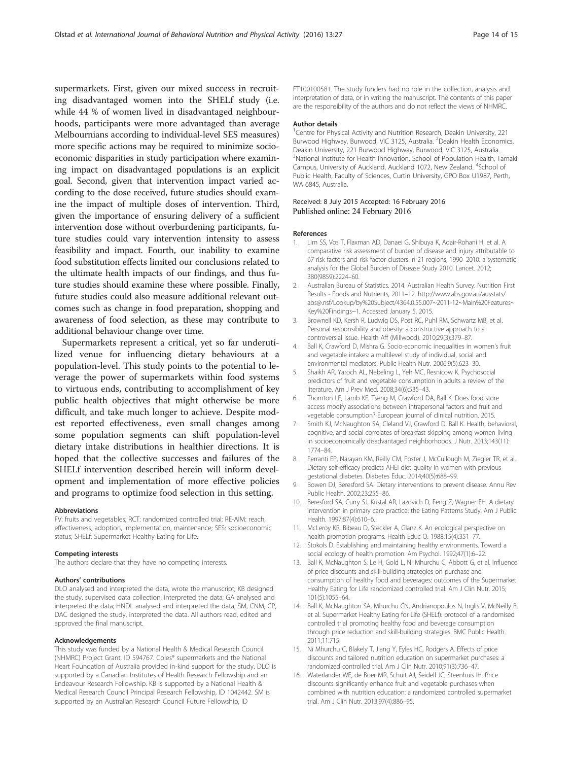<span id="page-13-0"></span>supermarkets. First, given our mixed success in recruiting disadvantaged women into the SHELf study (i.e. while 44 % of women lived in disadvantaged neighbourhoods, participants were more advantaged than average Melbournians according to individual-level SES measures) more specific actions may be required to minimize socioeconomic disparities in study participation where examining impact on disadvantaged populations is an explicit goal. Second, given that intervention impact varied according to the dose received, future studies should examine the impact of multiple doses of intervention. Third, given the importance of ensuring delivery of a sufficient intervention dose without overburdening participants, future studies could vary intervention intensity to assess feasibility and impact. Fourth, our inability to examine food substitution effects limited our conclusions related to the ultimate health impacts of our findings, and thus future studies should examine these where possible. Finally, future studies could also measure additional relevant outcomes such as change in food preparation, shopping and awareness of food selection, as these may contribute to additional behaviour change over time.

Supermarkets represent a critical, yet so far underutilized venue for influencing dietary behaviours at a population-level. This study points to the potential to leverage the power of supermarkets within food systems to virtuous ends, contributing to accomplishment of key public health objectives that might otherwise be more difficult, and take much longer to achieve. Despite modest reported effectiveness, even small changes among some population segments can shift population-level dietary intake distributions in healthier directions. It is hoped that the collective successes and failures of the SHELf intervention described herein will inform development and implementation of more effective policies and programs to optimize food selection in this setting.

#### Abbreviations

FV: fruits and vegetables; RCT: randomized controlled trial; RE-AIM: reach, effectiveness, adoption, implementation, maintenance; SES: socioeconomic status; SHELf: Supermarket Healthy Eating for Life.

#### Competing interests

The authors declare that they have no competing interests.

#### Authors' contributions

DLO analysed and interpreted the data, wrote the manuscript; KB designed the study, supervised data collection, interpreted the data; GA analysed and interpreted the data; HNDL analysed and interpreted the data; SM, CNM, CP, DAC designed the study, interpreted the data. All authors read, edited and approved the final manuscript.

#### Acknowledgements

This study was funded by a National Health & Medical Research Council (NHMRC) Project Grant, ID 594767. Coles® supermarkets and the National Heart Foundation of Australia provided in-kind support for the study. DLO is supported by a Canadian Institutes of Health Research Fellowship and an Endeavour Research Fellowship. KB is supported by a National Health & Medical Research Council Principal Research Fellowship, ID 1042442. SM is supported by an Australian Research Council Future Fellowship, ID

FT100100581. The study funders had no role in the collection, analysis and interpretation of data, or in writing the manuscript. The contents of this paper are the responsibility of the authors and do not reflect the views of NHMRC.

#### Author details

<sup>1</sup> Centre for Physical Activity and Nutrition Research, Deakin University, 221 Burwood Highway, Burwood, VIC 3125, Australia. <sup>2</sup>Deakin Health Economics, Deakin University, 221 Burwood Highway, Burwood, VIC 3125, Australia. <sup>3</sup>National Institute for Health Innovation, School of Population Health, Tamaki Campus, University of Auckland, Auckland 1072, New Zealand. <sup>4</sup>School of Public Health, Faculty of Sciences, Curtin University, GPO Box U1987, Perth, WA 6845, Australia.

#### Received: 8 July 2015 Accepted: 16 February 2016 Published online: 24 February 2016

#### References

- 1. Lim SS, Vos T, Flaxman AD, Danaei G, Shibuya K, Adair-Rohani H, et al. A comparative risk assessment of burden of disease and injury attributable to 67 risk factors and risk factor clusters in 21 regions, 1990–2010: a systematic analysis for the Global Burden of Disease Study 2010. Lancet. 2012; 380(9859):2224–60.
- 2. Australian Bureau of Statistics. 2014. Australian Health Survey: Nutrition First Results - Foods and Nutrients, 2011–12. [http://www.abs.gov.au/ausstats/](http://www.abs.gov.au/ausstats/abs@.nsf/Lookup/by%20Subject/4364.0.55.007~2011-12~Main%20Features~Key%20Findings~1) [abs@.nsf/Lookup/by%20Subject/4364.0.55.007~2011-12~Main%20Features~](http://www.abs.gov.au/ausstats/abs@.nsf/Lookup/by%20Subject/4364.0.55.007~2011-12~Main%20Features~Key%20Findings~1) [Key%20Findings~1](http://www.abs.gov.au/ausstats/abs@.nsf/Lookup/by%20Subject/4364.0.55.007~2011-12~Main%20Features~Key%20Findings~1). Accessed January 5, 2015.
- 3. Brownell KD, Kersh R, Ludwig DS, Post RC, Puhl RM, Schwartz MB, et al. Personal responsibility and obesity: a constructive approach to a controversial issue. Health Aff (Millwood). 2010;29(3):379–87.
- 4. Ball K, Crawford D, Mishra G. Socio-economic inequalities in women's fruit and vegetable intakes: a multilevel study of individual, social and environmental mediators. Public Health Nutr. 2006;9(5):623–30.
- 5. Shaikh AR, Yaroch AL, Nebeling L, Yeh MC, Resnicow K. Psychosocial predictors of fruit and vegetable consumption in adults a review of the literature. Am J Prev Med. 2008;34(6):535–43.
- 6. Thornton LE, Lamb KE, Tseng M, Crawford DA, Ball K. Does food store access modify associations between intrapersonal factors and fruit and vegetable consumption? European journal of clinical nutrition. 2015.
- 7. Smith KJ, McNaughton SA, Cleland VJ, Crawford D, Ball K. Health, behavioral, cognitive, and social correlates of breakfast skipping among women living in socioeconomically disadvantaged neighborhoods. J Nutr. 2013;143(11): 1774–84.
- 8. Ferranti EP, Narayan KM, Reilly CM, Foster J, McCullough M, Ziegler TR, et al. Dietary self-efficacy predicts AHEI diet quality in women with previous gestational diabetes. Diabetes Educ. 2014;40(5):688–99.
- 9. Bowen DJ, Beresford SA. Dietary interventions to prevent disease. Annu Rev Public Health. 2002;23:255–86.
- 10. Beresford SA, Curry SJ, Kristal AR, Lazovich D, Feng Z, Wagner EH. A dietary intervention in primary care practice: the Eating Patterns Study. Am J Public Health. 1997;87(4):610–6.
- 11. McLeroy KR, Bibeau D, Steckler A, Glanz K. An ecological perspective on health promotion programs. Health Educ Q. 1988;15(4):351–77.
- 12. Stokols D. Establishing and maintaining healthy environments. Toward a social ecology of health promotion. Am Psychol. 1992;47(1):6–22.
- 13. Ball K, McNaughton S, Le H, Gold L, Ni Mhurchu C, Abbott G, et al. Influence of price discounts and skill-building strategies on purchase and consumption of healthy food and beverages: outcomes of the Supermarket Healthy Eating for Life randomized controlled trial. Am J Clin Nutr. 2015; 101(5):1055–64.
- 14. Ball K, McNaughton SA, Mhurchu CN, Andrianopoulos N, Inglis V, McNeilly B, et al. Supermarket Healthy Eating for Life (SHELf): protocol of a randomised controlled trial promoting healthy food and beverage consumption through price reduction and skill-building strategies. BMC Public Health. 2011;11:715.
- 15. Ni Mhurchu C, Blakely T, Jiang Y, Eyles HC, Rodgers A. Effects of price discounts and tailored nutrition education on supermarket purchases: a randomized controlled trial. Am J Clin Nutr. 2010;91(3):736–47.
- 16. Waterlander WE, de Boer MR, Schuit AJ, Seidell JC, Steenhuis IH. Price discounts significantly enhance fruit and vegetable purchases when combined with nutrition education: a randomized controlled supermarket trial. Am J Clin Nutr. 2013;97(4):886–95.